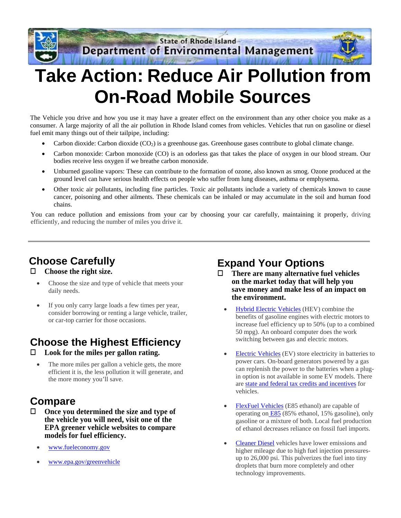

# **Take Action: Reduce Air Pollution from On-Road Mobile Sources**

The Vehicle you drive and how you use it may have a greater effect on the environment than any other choice you make as a consumer. A large majority of all the air pollution in Rhode Island comes from vehicles. Vehicles that run on gasoline or diesel fuel emit many things out of their tailpipe, including:

- Carbon dioxide: Carbon dioxide  $(CO<sub>2</sub>)$  is a greenhouse gas. Greenhouse gases contribute to global climate change.
- Carbon monoxide: Carbon monoxide (CO) is an odorless gas that takes the place of oxygen in our blood stream. Our bodies receive less oxygen if we breathe carbon monoxide.
- Unburned gasoline vapors: These can contribute to the formation of ozone, also known as smog. Ozone produced at the ground level can have serious health effects on people who suffer from lung diseases, asthma or emphysema.
- Other toxic air pollutants, including fine particles. Toxic air pollutants include a variety of chemicals known to cause cancer, poisoning and other ailments. These chemicals can be inhaled or may accumulate in the soil and human food chains.

You can reduce pollution and emissions from your car by choosing your car carefully, maintaining it properly, driving efficiently, and reducing the number of miles you drive it.

# **Choose Carefully**

#### **Choose the right size.**

- Choose the size and type of vehicle that meets your daily needs.
- If you only carry large loads a few times per year, consider borrowing or renting a large vehicle, trailer, or car-top carrier for those occasions.

# **Choose the Highest Efficiency**

- **Look for the miles per gallon rating.** 
	- The more miles per gallon a vehicle gets, the more efficient it is, the less pollution it will generate, and the more money you'll save.

### **Compare**

- **Once you determined the size and type of the vehicle you will need, visit one of the EPA greener vehicle websites to compare models for fuel efficiency.** 
	- [www.fueleconomy.gov](http://www.fueleconomy.gov/)
	- [www.epa.gov/greenvehicle](http://www.epa.gov/greenvehicle)

### **Expand Your Options**

- **There are many alternative fuel vehicles on the market today that will help you save money and make less of an impact on the environment.** 
	- [Hybrid Electric Vehicles](http://www.afdc.energy.gov/vehicles/electric_basics_hev.html) (HEV) combine the benefits of gasoline engines with electric motors to increase fuel efficiency up to 50% (up to a combined 50 mpg). An onboard computer does the work switching between gas and electric motors.
	- [Electric Vehicles](http://www.afdc.energy.gov/vehicles/electric.html) (EV) store electricity in batteries to power cars. On-board generators powered by a gas can replenish the power to the batteries when a plugin option is not available in some EV models. There are [state and federal tax credits and incentives](http://www.afdc.energy.gov/afdc/vehicles/hybrid_electric_laws.html) for vehicles.
	- [FlexFuel Vehicles](http://www.afdc.energy.gov/vehicles/flexible_fuel.html) (E85 ethanol) are capable of operating o[n E85](http://www.afdc.energy.gov/fuels/ethanol_e85.html) (85% ethanol, 15% gasoline), only gasoline or a mixture of both. Local fuel production of ethanol decreases reliance on fossil fuel imports.
	- [Cleaner Diesel](http://www.afdc.energy.gov/vehicles/diesel.html) vehicles have lower emissions and higher mileage due to high fuel injection pressuresup to 26,000 psi. This pulverizes the fuel into tiny droplets that burn more completely and other technology improvements.